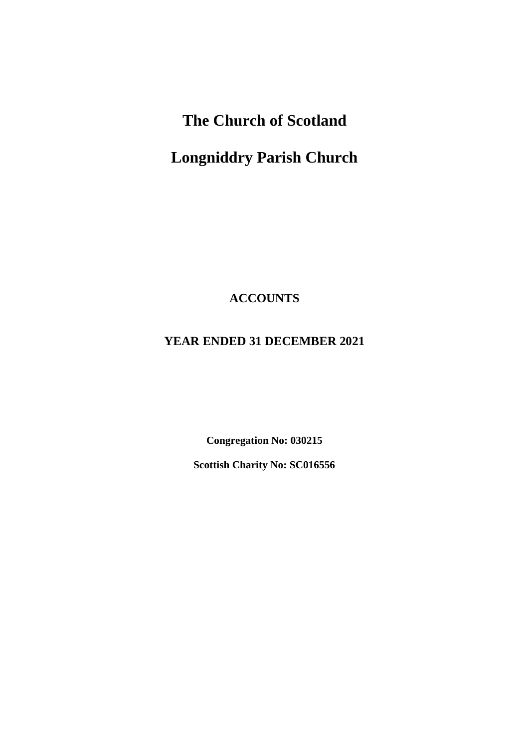# **The Church of Scotland**

# **Longniddry Parish Church**

**ACCOUNTS**

# **YEAR ENDED 31 DECEMBER 2021**

**Congregation No: 030215**

**Scottish Charity No: SC016556**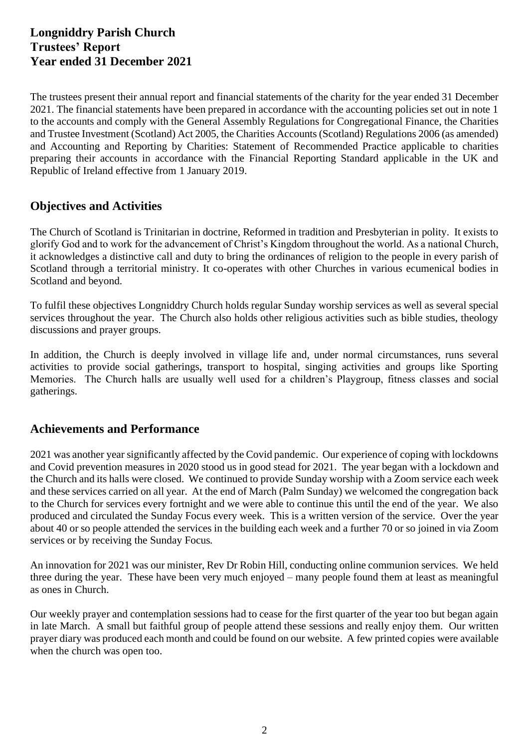The trustees present their annual report and financial statements of the charity for the year ended 31 December 2021. The financial statements have been prepared in accordance with the accounting policies set out in note 1 to the accounts and comply with the General Assembly Regulations for Congregational Finance, the Charities and Trustee Investment (Scotland) Act 2005, the Charities Accounts (Scotland) Regulations 2006 (as amended) and Accounting and Reporting by Charities: Statement of Recommended Practice applicable to charities preparing their accounts in accordance with the Financial Reporting Standard applicable in the UK and Republic of Ireland effective from 1 January 2019.

# **Objectives and Activities**

The Church of Scotland is Trinitarian in doctrine, Reformed in tradition and Presbyterian in polity. It exists to glorify God and to work for the advancement of Christ's Kingdom throughout the world. As a national Church, it acknowledges a distinctive call and duty to bring the ordinances of religion to the people in every parish of Scotland through a territorial ministry. It co-operates with other Churches in various ecumenical bodies in Scotland and beyond.

To fulfil these objectives Longniddry Church holds regular Sunday worship services as well as several special services throughout the year. The Church also holds other religious activities such as bible studies, theology discussions and prayer groups.

In addition, the Church is deeply involved in village life and, under normal circumstances, runs several activities to provide social gatherings, transport to hospital, singing activities and groups like Sporting Memories. The Church halls are usually well used for a children's Playgroup, fitness classes and social gatherings.

## **Achievements and Performance**

2021 was another year significantly affected by the Covid pandemic. Our experience of coping with lockdowns and Covid prevention measures in 2020 stood us in good stead for 2021. The year began with a lockdown and the Church and its halls were closed. We continued to provide Sunday worship with a Zoom service each week and these services carried on all year. At the end of March (Palm Sunday) we welcomed the congregation back to the Church for services every fortnight and we were able to continue this until the end of the year. We also produced and circulated the Sunday Focus every week. This is a written version of the service. Over the year about 40 or so people attended the services in the building each week and a further 70 or so joined in via Zoom services or by receiving the Sunday Focus.

An innovation for 2021 was our minister, Rev Dr Robin Hill, conducting online communion services. We held three during the year. These have been very much enjoyed – many people found them at least as meaningful as ones in Church.

Our weekly prayer and contemplation sessions had to cease for the first quarter of the year too but began again in late March. A small but faithful group of people attend these sessions and really enjoy them. Our written prayer diary was produced each month and could be found on our website. A few printed copies were available when the church was open too.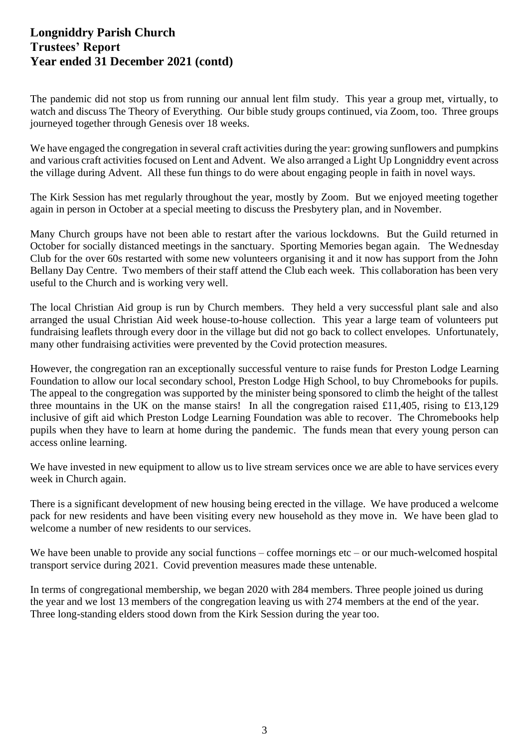The pandemic did not stop us from running our annual lent film study. This year a group met, virtually, to watch and discuss The Theory of Everything. Our bible study groups continued, via Zoom, too. Three groups journeyed together through Genesis over 18 weeks.

We have engaged the congregation in several craft activities during the year: growing sunflowers and pumpkins and various craft activities focused on Lent and Advent. We also arranged a Light Up Longniddry event across the village during Advent. All these fun things to do were about engaging people in faith in novel ways.

The Kirk Session has met regularly throughout the year, mostly by Zoom. But we enjoyed meeting together again in person in October at a special meeting to discuss the Presbytery plan, and in November.

Many Church groups have not been able to restart after the various lockdowns. But the Guild returned in October for socially distanced meetings in the sanctuary. Sporting Memories began again. The Wednesday Club for the over 60s restarted with some new volunteers organising it and it now has support from the John Bellany Day Centre. Two members of their staff attend the Club each week. This collaboration has been very useful to the Church and is working very well.

The local Christian Aid group is run by Church members. They held a very successful plant sale and also arranged the usual Christian Aid week house-to-house collection. This year a large team of volunteers put fundraising leaflets through every door in the village but did not go back to collect envelopes. Unfortunately, many other fundraising activities were prevented by the Covid protection measures.

However, the congregation ran an exceptionally successful venture to raise funds for Preston Lodge Learning Foundation to allow our local secondary school, Preston Lodge High School, to buy Chromebooks for pupils. The appeal to the congregation was supported by the minister being sponsored to climb the height of the tallest three mountains in the UK on the manse stairs! In all the congregation raised £11,405, rising to £13,129 inclusive of gift aid which Preston Lodge Learning Foundation was able to recover. The Chromebooks help pupils when they have to learn at home during the pandemic. The funds mean that every young person can access online learning.

We have invested in new equipment to allow us to live stream services once we are able to have services every week in Church again.

There is a significant development of new housing being erected in the village. We have produced a welcome pack for new residents and have been visiting every new household as they move in. We have been glad to welcome a number of new residents to our services.

We have been unable to provide any social functions – coffee mornings  $etc - or our much-welcomed hospital$ transport service during 2021. Covid prevention measures made these untenable.

In terms of congregational membership, we began 2020 with 284 members. Three people joined us during the year and we lost 13 members of the congregation leaving us with 274 members at the end of the year. Three long-standing elders stood down from the Kirk Session during the year too.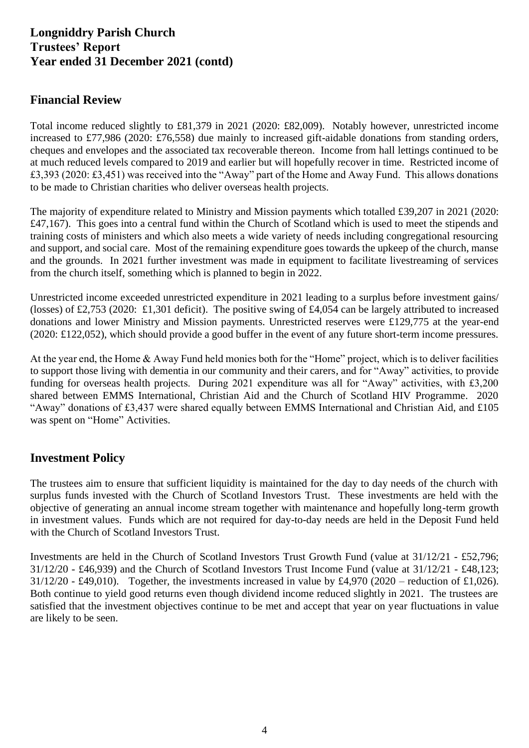# **Financial Review**

Total income reduced slightly to £81,379 in 2021 (2020: £82,009). Notably however, unrestricted income increased to £77,986 (2020: £76,558) due mainly to increased gift-aidable donations from standing orders, cheques and envelopes and the associated tax recoverable thereon. Income from hall lettings continued to be at much reduced levels compared to 2019 and earlier but will hopefully recover in time. Restricted income of £3,393 (2020: £3,451) was received into the "Away" part of the Home and Away Fund. This allows donations to be made to Christian charities who deliver overseas health projects.

The majority of expenditure related to Ministry and Mission payments which totalled £39,207 in 2021 (2020: £47,167). This goes into a central fund within the Church of Scotland which is used to meet the stipends and training costs of ministers and which also meets a wide variety of needs including congregational resourcing and support, and social care. Most of the remaining expenditure goes towards the upkeep of the church, manse and the grounds. In 2021 further investment was made in equipment to facilitate livestreaming of services from the church itself, something which is planned to begin in 2022.

Unrestricted income exceeded unrestricted expenditure in 2021 leading to a surplus before investment gains/ (losses) of £2,753 (2020: £1,301 deficit). The positive swing of £4,054 can be largely attributed to increased donations and lower Ministry and Mission payments. Unrestricted reserves were £129,775 at the year-end (2020: £122,052), which should provide a good buffer in the event of any future short-term income pressures.

At the year end, the Home & Away Fund held monies both for the "Home" project, which is to deliver facilities to support those living with dementia in our community and their carers, and for "Away" activities, to provide funding for overseas health projects. During 2021 expenditure was all for "Away" activities, with £3,200 shared between EMMS International, Christian Aid and the Church of Scotland HIV Programme. 2020 "Away" donations of £3,437 were shared equally between EMMS International and Christian Aid, and £105 was spent on "Home" Activities.

# **Investment Policy**

The trustees aim to ensure that sufficient liquidity is maintained for the day to day needs of the church with surplus funds invested with the Church of Scotland Investors Trust. These investments are held with the objective of generating an annual income stream together with maintenance and hopefully long-term growth in investment values. Funds which are not required for day-to-day needs are held in the Deposit Fund held with the Church of Scotland Investors Trust.

Investments are held in the Church of Scotland Investors Trust Growth Fund (value at 31/12/21 - £52,796; 31/12/20 - £46,939) and the Church of Scotland Investors Trust Income Fund (value at 31/12/21 - £48,123;  $31/12/20$  - £49,010). Together, the investments increased in value by £4,970 (2020 – reduction of £1,026). Both continue to yield good returns even though dividend income reduced slightly in 2021. The trustees are satisfied that the investment objectives continue to be met and accept that year on year fluctuations in value are likely to be seen.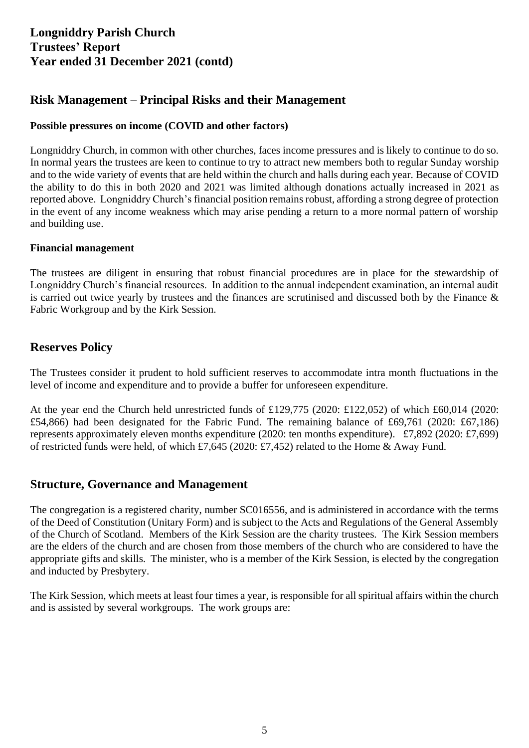# **Risk Management – Principal Risks and their Management**

### **Possible pressures on income (COVID and other factors)**

Longniddry Church, in common with other churches, faces income pressures and is likely to continue to do so. In normal years the trustees are keen to continue to try to attract new members both to regular Sunday worship and to the wide variety of events that are held within the church and halls during each year. Because of COVID the ability to do this in both 2020 and 2021 was limited although donations actually increased in 2021 as reported above. Longniddry Church's financial position remainsrobust, affording a strong degree of protection in the event of any income weakness which may arise pending a return to a more normal pattern of worship and building use.

### **Financial management**

The trustees are diligent in ensuring that robust financial procedures are in place for the stewardship of Longniddry Church's financial resources. In addition to the annual independent examination, an internal audit is carried out twice yearly by trustees and the finances are scrutinised and discussed both by the Finance & Fabric Workgroup and by the Kirk Session.

### **Reserves Policy**

The Trustees consider it prudent to hold sufficient reserves to accommodate intra month fluctuations in the level of income and expenditure and to provide a buffer for unforeseen expenditure.

At the year end the Church held unrestricted funds of £129,775 (2020: £122,052) of which £60,014 (2020: £54,866) had been designated for the Fabric Fund. The remaining balance of £69,761 (2020: £67,186) represents approximately eleven months expenditure (2020: ten months expenditure). £7,892 (2020: £7,699) of restricted funds were held, of which £7,645 (2020: £7,452) related to the Home & Away Fund.

### **Structure, Governance and Management**

The congregation is a registered charity, number SC016556, and is administered in accordance with the terms of the Deed of Constitution (Unitary Form) and is subject to the Acts and Regulations of the General Assembly of the Church of Scotland. Members of the Kirk Session are the charity trustees. The Kirk Session members are the elders of the church and are chosen from those members of the church who are considered to have the appropriate gifts and skills. The minister, who is a member of the Kirk Session, is elected by the congregation and inducted by Presbytery.

The Kirk Session, which meets at least four times a year, is responsible for all spiritual affairs within the church and is assisted by several workgroups. The work groups are: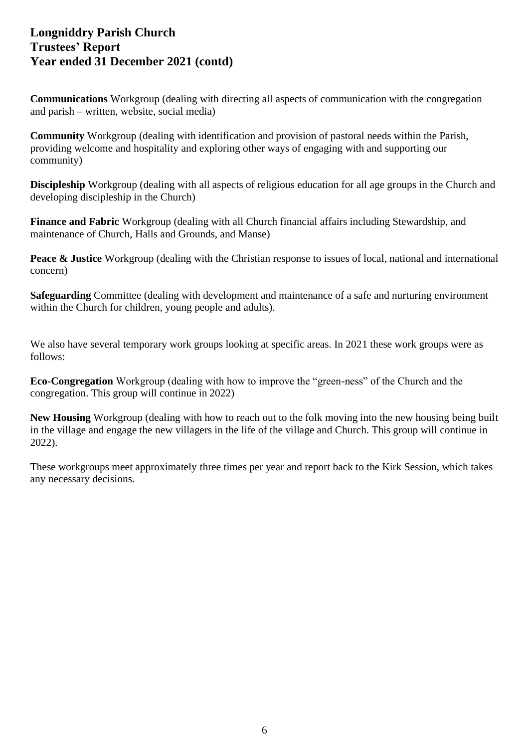**Communications** Workgroup (dealing with directing all aspects of communication with the congregation and parish – written, website, social media)

**Community** Workgroup (dealing with identification and provision of pastoral needs within the Parish, providing welcome and hospitality and exploring other ways of engaging with and supporting our community)

**Discipleship** Workgroup (dealing with all aspects of religious education for all age groups in the Church and developing discipleship in the Church)

**Finance and Fabric** Workgroup (dealing with all Church financial affairs including Stewardship, and maintenance of Church, Halls and Grounds, and Manse)

**Peace & Justice** Workgroup (dealing with the Christian response to issues of local, national and international concern)

**Safeguarding** Committee (dealing with development and maintenance of a safe and nurturing environment within the Church for children, young people and adults).

We also have several temporary work groups looking at specific areas. In 2021 these work groups were as follows:

**Eco-Congregation** Workgroup (dealing with how to improve the "green-ness" of the Church and the congregation. This group will continue in 2022)

**New Housing** Workgroup (dealing with how to reach out to the folk moving into the new housing being built in the village and engage the new villagers in the life of the village and Church. This group will continue in 2022).

These workgroups meet approximately three times per year and report back to the Kirk Session, which takes any necessary decisions.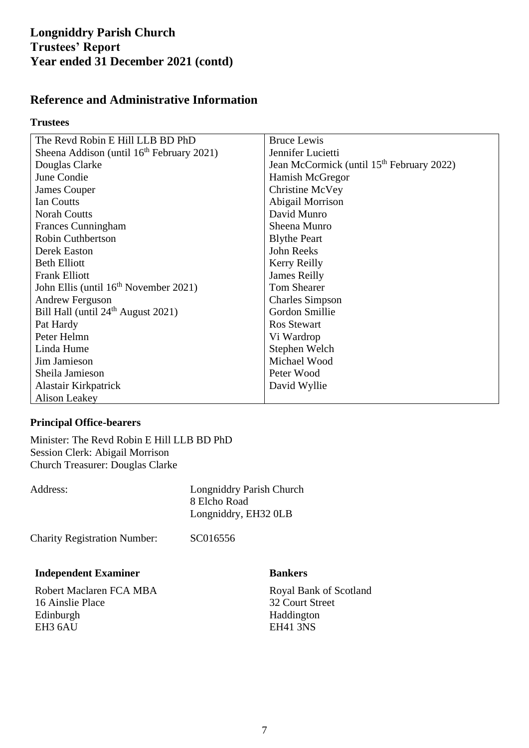## **Reference and Administrative Information**

### **Trustees**

| The Revd Robin E Hill LLB BD PhD                  | <b>Bruce Lewis</b>                                    |
|---------------------------------------------------|-------------------------------------------------------|
| Sheena Addison (until $16th$ February 2021)       | Jennifer Lucietti                                     |
| Douglas Clarke                                    | Jean McCormick (until 15 <sup>th</sup> February 2022) |
| June Condie                                       | Hamish McGregor                                       |
| James Couper                                      | Christine McVey                                       |
| Ian Coutts                                        | Abigail Morrison                                      |
| <b>Norah Coutts</b>                               | David Munro                                           |
| <b>Frances Cunningham</b>                         | Sheena Munro                                          |
| <b>Robin Cuthbertson</b>                          | <b>Blythe Peart</b>                                   |
| Derek Easton                                      | John Reeks                                            |
| <b>Beth Elliott</b>                               | Kerry Reilly                                          |
| <b>Frank Elliott</b>                              | <b>James Reilly</b>                                   |
| John Ellis (until 16 <sup>th</sup> November 2021) | <b>Tom Shearer</b>                                    |
| <b>Andrew Ferguson</b>                            | <b>Charles Simpson</b>                                |
| Bill Hall (until 24 <sup>th</sup> August 2021)    | Gordon Smillie                                        |
| Pat Hardy                                         | Ros Stewart                                           |
| Peter Helmn                                       | Vi Wardrop                                            |
| Linda Hume                                        | Stephen Welch                                         |
| Jim Jamieson                                      | Michael Wood                                          |
| Sheila Jamieson                                   | Peter Wood                                            |
| Alastair Kirkpatrick                              | David Wyllie                                          |
| <b>Alison Leakey</b>                              |                                                       |

### **Principal Office-bearers**

Minister: The Revd Robin E Hill LLB BD PhD Session Clerk: Abigail Morrison Church Treasurer: Douglas Clarke

| Address: |  |
|----------|--|
|          |  |

Longniddry Parish Church 8 Elcho Road Longniddry, EH32 0LB

Charity Registration Number: SC016556

### **Independent Examiner**

Robert Maclaren FCA MBA 16 Ainslie Place Edinburgh EH3 6AU

### **Bankers**

Royal Bank of Scotland 32 Court Street Haddington EH41 3NS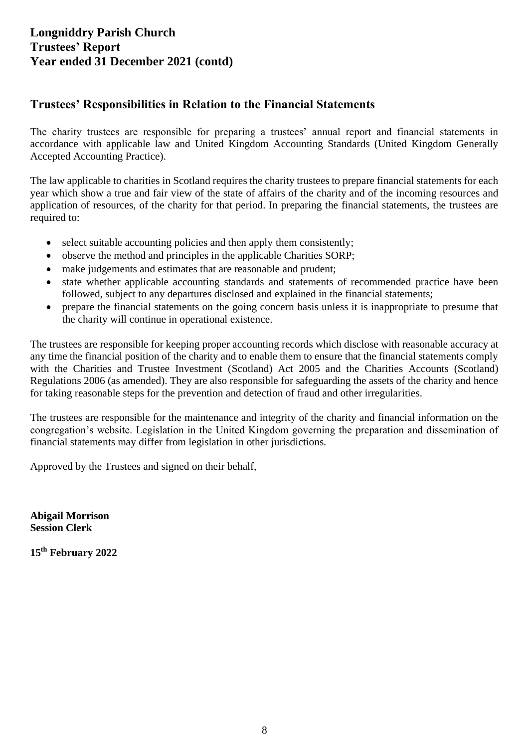## **Trustees' Responsibilities in Relation to the Financial Statements**

The charity trustees are responsible for preparing a trustees' annual report and financial statements in accordance with applicable law and United Kingdom Accounting Standards (United Kingdom Generally Accepted Accounting Practice).

The law applicable to charities in Scotland requires the charity trustees to prepare financial statements for each year which show a true and fair view of the state of affairs of the charity and of the incoming resources and application of resources, of the charity for that period. In preparing the financial statements, the trustees are required to:

- select suitable accounting policies and then apply them consistently;
- observe the method and principles in the applicable Charities SORP;
- make judgements and estimates that are reasonable and prudent:
- state whether applicable accounting standards and statements of recommended practice have been followed, subject to any departures disclosed and explained in the financial statements;
- prepare the financial statements on the going concern basis unless it is inappropriate to presume that the charity will continue in operational existence.

The trustees are responsible for keeping proper accounting records which disclose with reasonable accuracy at any time the financial position of the charity and to enable them to ensure that the financial statements comply with the Charities and Trustee Investment (Scotland) Act 2005 and the Charities Accounts (Scotland) Regulations 2006 (as amended). They are also responsible for safeguarding the assets of the charity and hence for taking reasonable steps for the prevention and detection of fraud and other irregularities.

The trustees are responsible for the maintenance and integrity of the charity and financial information on the congregation's website. Legislation in the United Kingdom governing the preparation and dissemination of financial statements may differ from legislation in other jurisdictions.

Approved by the Trustees and signed on their behalf,

**Abigail Morrison Session Clerk**

**15th February 2022**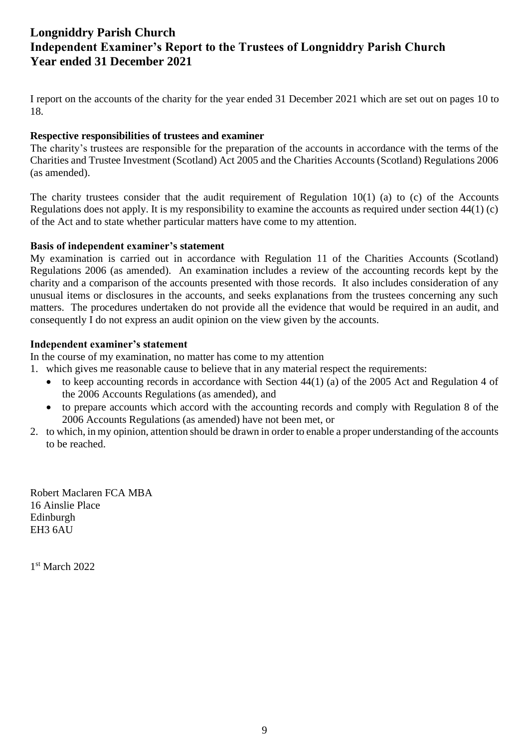# **Longniddry Parish Church Independent Examiner's Report to the Trustees of Longniddry Parish Church Year ended 31 December 2021**

I report on the accounts of the charity for the year ended 31 December 2021 which are set out on pages 10 to 18.

### **Respective responsibilities of trustees and examiner**

The charity's trustees are responsible for the preparation of the accounts in accordance with the terms of the Charities and Trustee Investment (Scotland) Act 2005 and the Charities Accounts (Scotland) Regulations 2006 (as amended).

The charity trustees consider that the audit requirement of Regulation  $10(1)$  (a) to (c) of the Accounts Regulations does not apply. It is my responsibility to examine the accounts as required under section 44(1) (c) of the Act and to state whether particular matters have come to my attention.

### **Basis of independent examiner's statement**

My examination is carried out in accordance with Regulation 11 of the Charities Accounts (Scotland) Regulations 2006 (as amended). An examination includes a review of the accounting records kept by the charity and a comparison of the accounts presented with those records. It also includes consideration of any unusual items or disclosures in the accounts, and seeks explanations from the trustees concerning any such matters. The procedures undertaken do not provide all the evidence that would be required in an audit, and consequently I do not express an audit opinion on the view given by the accounts.

### **Independent examiner's statement**

In the course of my examination, no matter has come to my attention

- 1. which gives me reasonable cause to believe that in any material respect the requirements:
	- to keep accounting records in accordance with Section 44(1) (a) of the 2005 Act and Regulation 4 of the 2006 Accounts Regulations (as amended), and
	- to prepare accounts which accord with the accounting records and comply with Regulation 8 of the 2006 Accounts Regulations (as amended) have not been met, or
- 2. to which, in my opinion, attention should be drawn in order to enable a proper understanding of the accounts to be reached.

Robert Maclaren FCA MBA 16 Ainslie Place Edinburgh EH3 6AU

1 st March 2022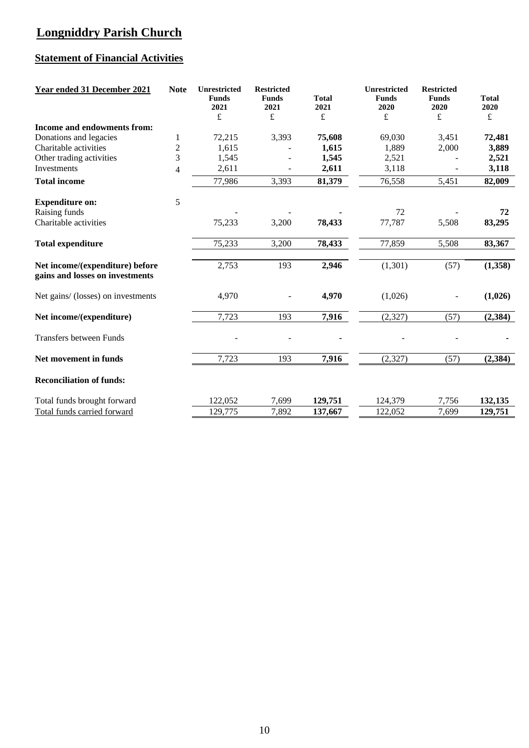# **Longniddry Parish Church**

# **Statement of Financial Activities**

| Year ended 31 December 2021                                        | <b>Note</b>              | Unrestricted<br><b>Funds</b><br>2021<br>£ | <b>Restricted</b><br><b>Funds</b><br>2021<br>£ | <b>Total</b><br>2021<br>£ | Unrestricted<br><b>Funds</b><br>2020<br>£ | <b>Restricted</b><br><b>Funds</b><br>2020<br>£ | <b>Total</b><br>2020<br>£ |
|--------------------------------------------------------------------|--------------------------|-------------------------------------------|------------------------------------------------|---------------------------|-------------------------------------------|------------------------------------------------|---------------------------|
| Income and endowments from:                                        |                          |                                           |                                                |                           |                                           |                                                |                           |
| Donations and legacies                                             | $\mathbf{1}$             | 72,215                                    | 3,393                                          | 75,608                    | 69,030                                    | 3,451                                          | 72,481                    |
| Charitable activities                                              | $\overline{c}$           | 1,615                                     |                                                | 1,615                     | 1,889                                     | 2,000                                          | 3,889                     |
| Other trading activities                                           | 3                        | 1,545                                     |                                                | 1,545                     | 2,521                                     |                                                | 2,521                     |
| Investments                                                        | $\overline{\mathcal{L}}$ | 2,611                                     |                                                | 2,611                     | 3,118                                     |                                                | 3,118                     |
| <b>Total income</b>                                                |                          | 77,986                                    | 3,393                                          | 81,379                    | 76,558                                    | 5,451                                          | 82,009                    |
| <b>Expenditure on:</b>                                             | 5                        |                                           |                                                |                           |                                           |                                                |                           |
| Raising funds                                                      |                          |                                           |                                                |                           | 72                                        |                                                | 72                        |
| Charitable activities                                              |                          | 75,233                                    | 3,200                                          | 78,433                    | 77,787                                    | 5,508                                          | 83,295                    |
| <b>Total expenditure</b>                                           |                          | 75,233                                    | 3,200                                          | 78,433                    | 77,859                                    | 5,508                                          | 83,367                    |
| Net income/(expenditure) before<br>gains and losses on investments |                          | 2,753                                     | 193                                            | 2,946                     | (1,301)                                   | (57)                                           | (1,358)                   |
| Net gains/ (losses) on investments                                 |                          | 4,970                                     |                                                | 4,970                     | (1,026)                                   |                                                | (1,026)                   |
| Net income/(expenditure)                                           |                          | 7,723                                     | 193                                            | 7,916                     | (2,327)                                   | (57)                                           | (2, 384)                  |
| <b>Transfers between Funds</b>                                     |                          |                                           |                                                |                           |                                           |                                                |                           |
| Net movement in funds                                              |                          | 7,723                                     | 193                                            | 7,916                     | (2, 327)                                  | (57)                                           | (2, 384)                  |
| <b>Reconciliation of funds:</b>                                    |                          |                                           |                                                |                           |                                           |                                                |                           |
| Total funds brought forward                                        |                          | 122,052                                   | 7,699                                          | 129,751                   | 124,379                                   | 7,756                                          | 132,135                   |
| Total funds carried forward                                        |                          | 129,775                                   | 7,892                                          | 137,667                   | 122,052                                   | 7,699                                          | 129,751                   |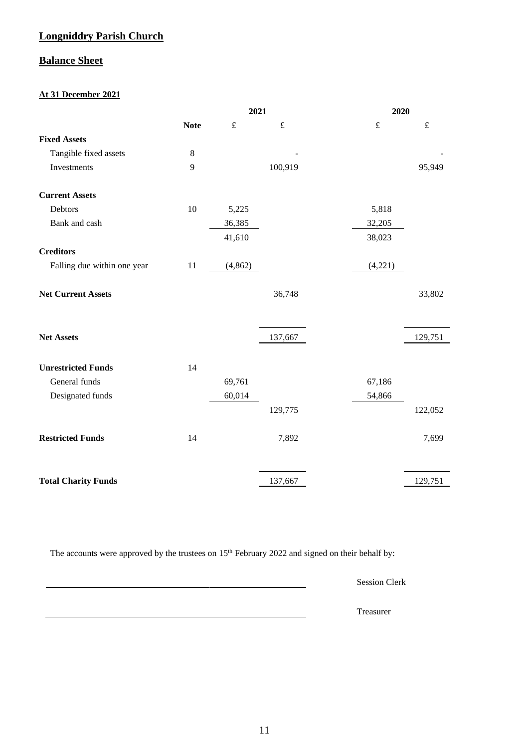### **Longniddry Parish Church**

### **Balance Sheet**

### **At 31 December 2021**

|                             |             | 2021      |           |           | 2020      |  |
|-----------------------------|-------------|-----------|-----------|-----------|-----------|--|
|                             | <b>Note</b> | $\pounds$ | $\pounds$ | $\pounds$ | $\pounds$ |  |
| <b>Fixed Assets</b>         |             |           |           |           |           |  |
| Tangible fixed assets       | $\,$ 8 $\,$ |           |           |           |           |  |
| Investments                 | 9           |           | 100,919   |           | 95,949    |  |
| <b>Current Assets</b>       |             |           |           |           |           |  |
| Debtors                     | 10          | 5,225     |           | 5,818     |           |  |
| Bank and cash               |             | 36,385    |           | 32,205    |           |  |
|                             |             | 41,610    |           | 38,023    |           |  |
| <b>Creditors</b>            |             |           |           |           |           |  |
| Falling due within one year | 11          | (4, 862)  |           | (4,221)   |           |  |
| <b>Net Current Assets</b>   |             |           | 36,748    |           | 33,802    |  |
| <b>Net Assets</b>           |             |           | 137,667   |           | 129,751   |  |
| <b>Unrestricted Funds</b>   | 14          |           |           |           |           |  |
| General funds               |             | 69,761    |           | 67,186    |           |  |
| Designated funds            |             | 60,014    |           | 54,866    |           |  |
|                             |             |           | 129,775   |           | 122,052   |  |
| <b>Restricted Funds</b>     | 14          |           | 7,892     |           | 7,699     |  |
| <b>Total Charity Funds</b>  |             |           | 137,667   |           | 129,751   |  |

The accounts were approved by the trustees on 15<sup>th</sup> February 2022 and signed on their behalf by:

Session Clerk

Treasurer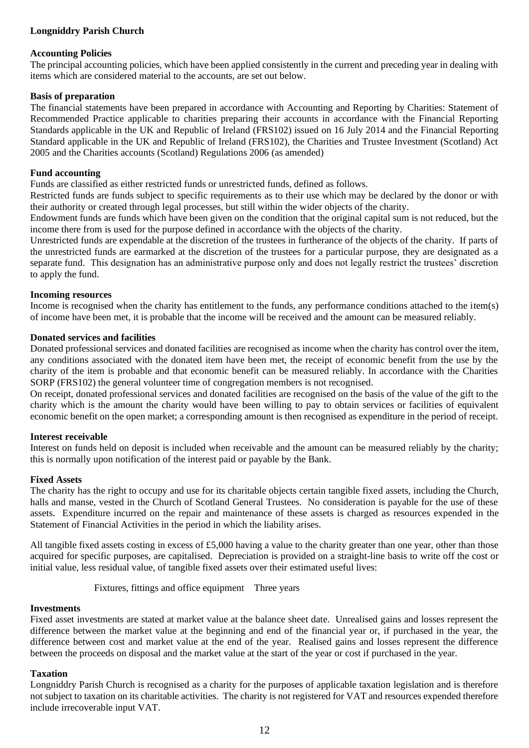### **Longniddry Parish Church**

#### **Accounting Policies**

The principal accounting policies, which have been applied consistently in the current and preceding year in dealing with items which are considered material to the accounts, are set out below.

#### **Basis of preparation**

The financial statements have been prepared in accordance with Accounting and Reporting by Charities: Statement of Recommended Practice applicable to charities preparing their accounts in accordance with the Financial Reporting Standards applicable in the UK and Republic of Ireland (FRS102) issued on 16 July 2014 and the Financial Reporting Standard applicable in the UK and Republic of Ireland (FRS102), the Charities and Trustee Investment (Scotland) Act 2005 and the Charities accounts (Scotland) Regulations 2006 (as amended)

#### **Fund accounting**

Funds are classified as either restricted funds or unrestricted funds, defined as follows.

Restricted funds are funds subject to specific requirements as to their use which may be declared by the donor or with their authority or created through legal processes, but still within the wider objects of the charity.

Endowment funds are funds which have been given on the condition that the original capital sum is not reduced, but the income there from is used for the purpose defined in accordance with the objects of the charity.

Unrestricted funds are expendable at the discretion of the trustees in furtherance of the objects of the charity. If parts of the unrestricted funds are earmarked at the discretion of the trustees for a particular purpose, they are designated as a separate fund. This designation has an administrative purpose only and does not legally restrict the trustees' discretion to apply the fund.

#### **Incoming resources**

Income is recognised when the charity has entitlement to the funds, any performance conditions attached to the item(s) of income have been met, it is probable that the income will be received and the amount can be measured reliably.

#### **Donated services and facilities**

Donated professional services and donated facilities are recognised as income when the charity has control over the item, any conditions associated with the donated item have been met, the receipt of economic benefit from the use by the charity of the item is probable and that economic benefit can be measured reliably. In accordance with the Charities SORP (FRS102) the general volunteer time of congregation members is not recognised.

On receipt, donated professional services and donated facilities are recognised on the basis of the value of the gift to the charity which is the amount the charity would have been willing to pay to obtain services or facilities of equivalent economic benefit on the open market; a corresponding amount is then recognised as expenditure in the period of receipt.

#### **Interest receivable**

Interest on funds held on deposit is included when receivable and the amount can be measured reliably by the charity; this is normally upon notification of the interest paid or payable by the Bank.

#### **Fixed Assets**

The charity has the right to occupy and use for its charitable objects certain tangible fixed assets, including the Church, halls and manse, vested in the Church of Scotland General Trustees. No consideration is payable for the use of these assets. Expenditure incurred on the repair and maintenance of these assets is charged as resources expended in the Statement of Financial Activities in the period in which the liability arises.

All tangible fixed assets costing in excess of £5,000 having a value to the charity greater than one year, other than those acquired for specific purposes, are capitalised. Depreciation is provided on a straight-line basis to write off the cost or initial value, less residual value, of tangible fixed assets over their estimated useful lives:

Fixtures, fittings and office equipment Three years

#### **Investments**

Fixed asset investments are stated at market value at the balance sheet date. Unrealised gains and losses represent the difference between the market value at the beginning and end of the financial year or, if purchased in the year, the difference between cost and market value at the end of the year. Realised gains and losses represent the difference between the proceeds on disposal and the market value at the start of the year or cost if purchased in the year.

#### **Taxation**

Longniddry Parish Church is recognised as a charity for the purposes of applicable taxation legislation and is therefore not subject to taxation on its charitable activities. The charity is not registered for VAT and resources expended therefore include irrecoverable input VAT.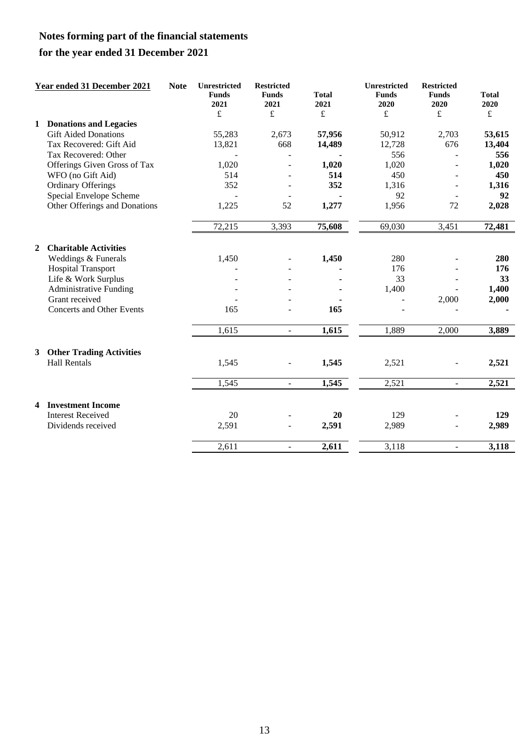# **for the year ended 31 December 2021**

|                         | Year ended 31 December 2021      | <b>Note</b> | Unrestricted<br><b>Funds</b><br>2021<br>$\pounds$ | <b>Restricted</b><br><b>Funds</b><br>2021<br>£ | <b>Total</b><br>2021<br>£ | Unrestricted<br><b>Funds</b><br>2020<br>$\pounds$ | <b>Restricted</b><br><b>Funds</b><br>2020<br>£ | <b>Total</b><br>2020<br>$\pounds$ |
|-------------------------|----------------------------------|-------------|---------------------------------------------------|------------------------------------------------|---------------------------|---------------------------------------------------|------------------------------------------------|-----------------------------------|
| 1                       | <b>Donations and Legacies</b>    |             |                                                   |                                                |                           |                                                   |                                                |                                   |
|                         | <b>Gift Aided Donations</b>      |             | 55,283                                            | 2,673                                          | 57,956                    | 50,912                                            | 2,703                                          | 53,615                            |
|                         | Tax Recovered: Gift Aid          |             | 13,821                                            | 668                                            | 14,489                    | 12,728                                            | 676                                            | 13,404                            |
|                         | Tax Recovered: Other             |             |                                                   |                                                |                           | 556                                               |                                                | 556                               |
|                         | Offerings Given Gross of Tax     |             | 1,020                                             |                                                | 1,020                     | 1,020                                             |                                                | 1,020                             |
|                         | WFO (no Gift Aid)                |             | 514                                               |                                                | 514                       | 450                                               |                                                | 450                               |
|                         | <b>Ordinary Offerings</b>        |             | 352                                               |                                                | 352                       | 1,316                                             | $\qquad \qquad \blacksquare$                   | 1,316                             |
|                         | Special Envelope Scheme          |             |                                                   |                                                |                           | 92                                                | $\overline{a}$                                 | 92                                |
|                         | Other Offerings and Donations    |             | 1,225                                             | 52                                             | 1,277                     | 1,956                                             | 72                                             | 2,028                             |
|                         |                                  |             | 72,215                                            | 3,393                                          | 75,608                    | 69,030                                            | 3,451                                          | 72,481                            |
| $\overline{2}$          | <b>Charitable Activities</b>     |             |                                                   |                                                |                           |                                                   |                                                |                                   |
|                         | Weddings & Funerals              |             | 1,450                                             |                                                | 1,450                     | 280                                               |                                                | 280                               |
|                         | <b>Hospital Transport</b>        |             |                                                   |                                                |                           | 176                                               |                                                | 176                               |
|                         | Life & Work Surplus              |             |                                                   |                                                |                           | 33                                                |                                                | 33                                |
|                         | <b>Administrative Funding</b>    |             |                                                   |                                                |                           | 1,400                                             |                                                | 1,400                             |
|                         | Grant received                   |             |                                                   |                                                |                           |                                                   | 2,000                                          | 2,000                             |
|                         | <b>Concerts and Other Events</b> |             | 165                                               |                                                | 165                       |                                                   |                                                |                                   |
|                         |                                  |             | 1,615                                             | $\Box$                                         | 1,615                     | 1,889                                             | 2,000                                          | 3,889                             |
| $3^{\circ}$             | <b>Other Trading Activities</b>  |             |                                                   |                                                |                           |                                                   |                                                |                                   |
|                         | <b>Hall Rentals</b>              |             | 1,545                                             | $\frac{1}{2}$                                  | 1,545                     | 2,521                                             | $\qquad \qquad \blacksquare$                   | 2,521                             |
|                         |                                  |             | 1,545                                             | $\sim$                                         | 1,545                     | 2,521                                             | $\mathcal{L}^{\mathcal{A}}$                    | 2,521                             |
| $\overline{\mathbf{4}}$ | <b>Investment Income</b>         |             |                                                   |                                                |                           |                                                   |                                                |                                   |
|                         | <b>Interest Received</b>         |             | 20                                                |                                                | 20                        | 129                                               |                                                | 129                               |
|                         | Dividends received               |             | 2,591                                             | L.                                             | 2,591                     | 2,989                                             | $\overline{a}$                                 | 2,989                             |
|                         |                                  |             | 2,611                                             | $\overline{\phantom{a}}$                       | 2,611                     | 3,118                                             | $\overline{\phantom{a}}$                       | 3,118                             |
|                         |                                  |             |                                                   |                                                |                           |                                                   |                                                |                                   |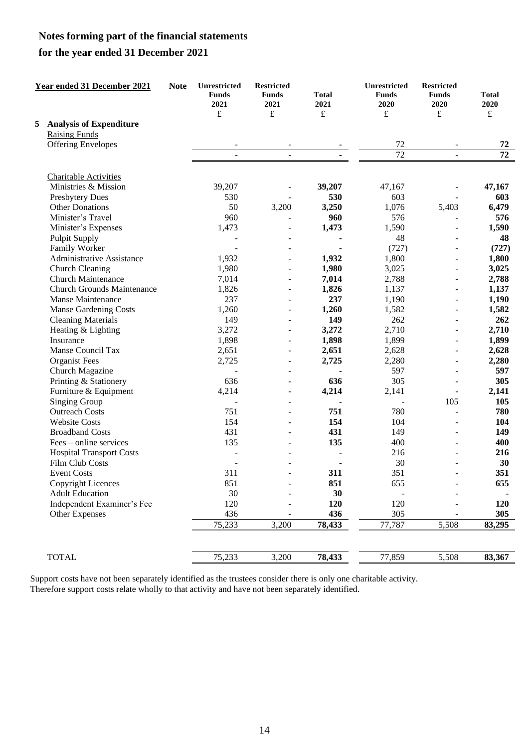### **for the year ended 31 December 2021**

|   | <b>Year ended 31 December 2021</b> | <b>Note</b> | Unrestricted<br><b>Funds</b><br>2021<br>£ | <b>Restricted</b><br><b>Funds</b><br>2021<br>£ | <b>Total</b><br>2021<br>$\pounds$ | Unrestricted<br><b>Funds</b><br>2020<br>$\pounds$ | <b>Restricted</b><br><b>Funds</b><br>2020<br>$\pounds$ | <b>Total</b><br>2020<br>$\mathbf f$ |
|---|------------------------------------|-------------|-------------------------------------------|------------------------------------------------|-----------------------------------|---------------------------------------------------|--------------------------------------------------------|-------------------------------------|
| 5 | <b>Analysis of Expenditure</b>     |             |                                           |                                                |                                   |                                                   |                                                        |                                     |
|   | <b>Raising Funds</b>               |             |                                           |                                                |                                   |                                                   |                                                        |                                     |
|   | <b>Offering Envelopes</b>          |             |                                           |                                                |                                   | 72                                                |                                                        | 72                                  |
|   |                                    |             |                                           | $\overline{a}$                                 |                                   | $\overline{72}$                                   | ÷,                                                     | $\overline{72}$                     |
|   | <b>Charitable Activities</b>       |             |                                           |                                                |                                   |                                                   |                                                        |                                     |
|   | Ministries & Mission               |             | 39,207                                    |                                                | 39,207                            | 47,167                                            |                                                        | 47,167                              |
|   | Presbytery Dues                    |             | 530                                       |                                                | 530                               | 603                                               |                                                        | 603                                 |
|   | <b>Other Donations</b>             |             | 50                                        | 3,200                                          | 3,250                             | 1,076                                             | 5,403                                                  | 6,479                               |
|   | Minister's Travel                  |             | 960                                       |                                                | 960                               | 576                                               |                                                        | 576                                 |
|   | Minister's Expenses                |             | 1,473                                     |                                                | 1,473                             | 1,590                                             | ÷                                                      | 1,590                               |
|   | <b>Pulpit Supply</b>               |             |                                           |                                                |                                   | 48                                                | L.                                                     | 48                                  |
|   | Family Worker                      |             |                                           |                                                |                                   | (727)                                             |                                                        | (727)                               |
|   | <b>Administrative Assistance</b>   |             | 1,932                                     | $\blacksquare$                                 | 1,932                             | 1,800                                             | $\overline{a}$                                         | 1,800                               |
|   | Church Cleaning                    |             | 1,980                                     | $\overline{\phantom{a}}$                       | 1,980                             | 3,025                                             | ÷                                                      | 3,025                               |
|   | <b>Church Maintenance</b>          |             | 7,014                                     |                                                | 7,014                             | 2,788                                             | -                                                      | 2,788                               |
|   | <b>Church Grounds Maintenance</b>  |             | 1,826                                     | ÷.                                             | 1,826                             | 1,137                                             | ÷                                                      | 1,137                               |
|   | Manse Maintenance                  |             | 237                                       |                                                | 237                               | 1,190                                             | ÷                                                      | 1,190                               |
|   | <b>Manse Gardening Costs</b>       |             | 1,260                                     |                                                | 1,260                             | 1,582                                             |                                                        | 1,582                               |
|   | <b>Cleaning Materials</b>          |             | 149                                       | $\overline{\phantom{a}}$                       | 149                               | 262                                               | $\overline{a}$                                         | 262                                 |
|   | Heating & Lighting<br>Insurance    |             | 3,272<br>1,898                            |                                                | 3,272<br>1,898                    | 2,710<br>1,899                                    |                                                        | 2,710<br>1,899                      |
|   | Manse Council Tax                  |             | 2,651                                     | $\overline{a}$                                 | 2,651                             | 2,628                                             | ÷,                                                     | 2,628                               |
|   | <b>Organist Fees</b>               |             | 2,725                                     |                                                | 2,725                             | 2,280                                             |                                                        | 2,280                               |
|   | Church Magazine                    |             |                                           |                                                |                                   | 597                                               |                                                        | 597                                 |
|   | Printing & Stationery              |             | 636                                       |                                                | 636                               | 305                                               |                                                        | 305                                 |
|   | Furniture & Equipment              |             | 4,214                                     | $\overline{\phantom{a}}$                       | 4,214                             | 2,141                                             | $\overline{\phantom{a}}$                               | 2,141                               |
|   | Singing Group                      |             |                                           | $\overline{\phantom{a}}$                       |                                   | $\blacksquare$                                    | 105                                                    | 105                                 |
|   | <b>Outreach Costs</b>              |             | 751                                       | $\overline{\phantom{a}}$                       | 751                               | 780                                               | $\overline{a}$                                         | 780                                 |
|   | <b>Website Costs</b>               |             | 154                                       |                                                | 154                               | 104                                               | ÷                                                      | 104                                 |
|   | <b>Broadband Costs</b>             |             | 431                                       |                                                | 431                               | 149                                               | ÷,                                                     | 149                                 |
|   | Fees – online services             |             | 135                                       | $\overline{\phantom{a}}$                       | 135                               | 400                                               | -                                                      | 400                                 |
|   | <b>Hospital Transport Costs</b>    |             |                                           |                                                |                                   | 216                                               |                                                        | 216                                 |
|   | Film Club Costs                    |             |                                           |                                                |                                   | 30                                                |                                                        | 30                                  |
|   | <b>Event Costs</b>                 |             | 311                                       |                                                | 311                               | 351                                               |                                                        | 351                                 |
|   | Copyright Licences                 |             | 851                                       | $\overline{\phantom{a}}$                       | 851                               | 655                                               |                                                        | 655                                 |
|   | <b>Adult Education</b>             |             | 30                                        |                                                | 30                                |                                                   |                                                        |                                     |
|   | Independent Examiner's Fee         |             | 120                                       |                                                | 120                               | 120                                               |                                                        | 120                                 |
|   | Other Expenses                     |             | 436                                       |                                                | 436                               | 305                                               |                                                        | 305                                 |
|   |                                    |             | 75,233                                    | 3,200                                          | 78,433                            | 77,787                                            | 5,508                                                  | 83,295                              |
|   |                                    |             |                                           |                                                |                                   |                                                   |                                                        |                                     |
|   | <b>TOTAL</b>                       |             | 75,233                                    | 3,200                                          | 78,433                            | 77,859                                            | 5,508                                                  | 83,367                              |

Support costs have not been separately identified as the trustees consider there is only one charitable activity. Therefore support costs relate wholly to that activity and have not been separately identified.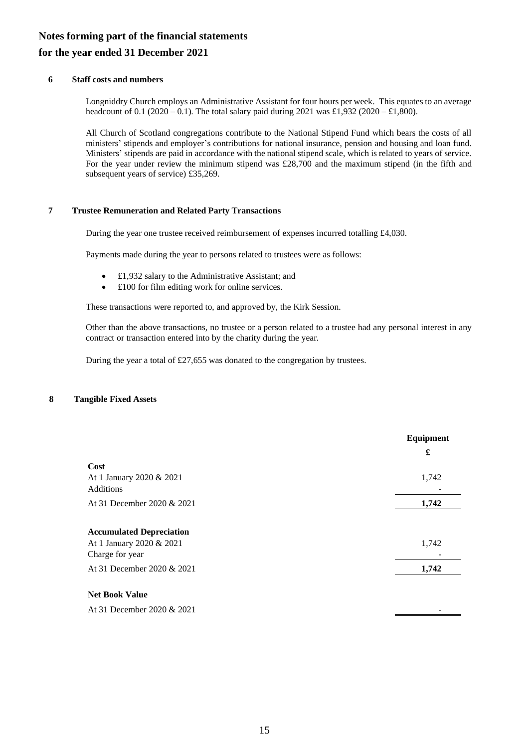### **for the year ended 31 December 2021**

#### **6 Staff costs and numbers**

Longniddry Church employs an Administrative Assistant for four hours per week. This equates to an average headcount of 0.1 (2020 – 0.1). The total salary paid during 2021 was £1,932 (2020 – £1,800).

All Church of Scotland congregations contribute to the National Stipend Fund which bears the costs of all ministers' stipends and employer's contributions for national insurance, pension and housing and loan fund. Ministers' stipends are paid in accordance with the national stipend scale, which is related to years of service. For the year under review the minimum stipend was £28,700 and the maximum stipend (in the fifth and subsequent years of service) £35,269.

#### **7 Trustee Remuneration and Related Party Transactions**

During the year one trustee received reimbursement of expenses incurred totalling £4,030.

Payments made during the year to persons related to trustees were as follows:

- £1,932 salary to the Administrative Assistant; and
- £100 for film editing work for online services.

These transactions were reported to, and approved by, the Kirk Session.

Other than the above transactions, no trustee or a person related to a trustee had any personal interest in any contract or transaction entered into by the charity during the year.

During the year a total of £27,655 was donated to the congregation by trustees.

#### **8 Tangible Fixed Assets**

|                                                                                | Equipment<br>£ |
|--------------------------------------------------------------------------------|----------------|
| Cost                                                                           |                |
| At 1 January 2020 & 2021<br>Additions                                          | 1,742          |
| At 31 December 2020 & 2021                                                     | 1,742          |
| <b>Accumulated Depreciation</b><br>At 1 January 2020 & 2021<br>Charge for year | 1,742          |
| At 31 December 2020 & 2021                                                     | 1,742          |
| <b>Net Book Value</b><br>At 31 December 2020 & 2021                            |                |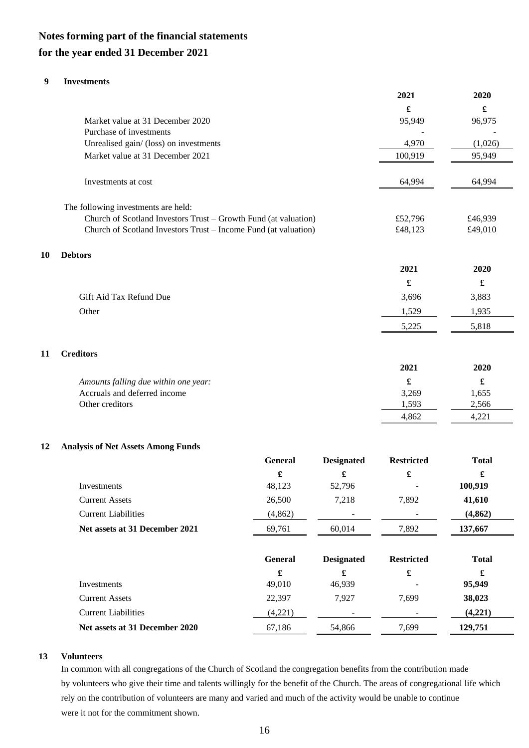### **for the year ended 31 December 2021**

#### **9 Investments**

**10 Debtors**

**11 Creditors**

|    |                                                                 |                   | 2021                 | 2020                 |
|----|-----------------------------------------------------------------|-------------------|----------------------|----------------------|
|    |                                                                 |                   | £                    | $\pmb{\mathfrak{L}}$ |
|    | Market value at 31 December 2020                                |                   | 95,949               | 96,975               |
|    | Purchase of investments                                         |                   |                      |                      |
|    | Unrealised gain/ (loss) on investments                          |                   | 4,970                | (1,026)              |
|    | Market value at 31 December 2021                                |                   | 100,919              | 95,949               |
|    | Investments at cost                                             |                   | 64,994               | 64,994               |
|    | The following investments are held:                             |                   |                      |                      |
|    | Church of Scotland Investors Trust - Growth Fund (at valuation) |                   | £52,796              | £46,939              |
|    | Church of Scotland Investors Trust - Income Fund (at valuation) |                   | £48,123              | £49,010              |
| 10 | <b>Debtors</b>                                                  |                   |                      |                      |
|    |                                                                 |                   | 2021                 | 2020                 |
|    |                                                                 |                   | $\pmb{\mathfrak{L}}$ | £                    |
|    | Gift Aid Tax Refund Due                                         |                   | 3,696                | 3,883                |
|    | Other                                                           |                   | 1,529                | 1,935                |
|    |                                                                 |                   | 5,225                | 5,818                |
| 11 | <b>Creditors</b>                                                |                   |                      |                      |
|    |                                                                 |                   | 2021                 | 2020                 |
|    | Amounts falling due within one year:                            |                   | $\pmb{\mathfrak{L}}$ | $\pmb{\mathfrak{L}}$ |
|    | Accruals and deferred income                                    |                   | 3,269                | 1,655                |
|    | Other creditors                                                 |                   | 1,593                | 2,566                |
|    |                                                                 |                   | 4,862                | 4,221                |
|    |                                                                 |                   |                      |                      |
| 12 | <b>Analysis of Net Assets Among Funds</b>                       |                   |                      |                      |
|    | General                                                         | <b>Designated</b> | <b>Restricted</b>    | <b>Total</b>         |

|                                | £              | £                 | £                 | £            |
|--------------------------------|----------------|-------------------|-------------------|--------------|
| Investments                    | 48,123         | 52,796            |                   | 100,919      |
| <b>Current Assets</b>          | 26,500         | 7,218             | 7,892             | 41,610       |
| <b>Current Liabilities</b>     | (4, 862)       |                   |                   | (4, 862)     |
| Net assets at 31 December 2021 | 69,761         | 60,014            | 7,892             | 137,667      |
|                                | <b>General</b> | <b>Designated</b> | <b>Restricted</b> | <b>Total</b> |
|                                | £              | £                 | £                 | £            |
| Investments                    | 49,010         | 46,939            |                   | 95,949       |
| <b>Current Assets</b>          | 22,397         | 7,927             | 7,699             | 38,023       |
| <b>Current Liabilities</b>     | (4,221)        |                   |                   | (4,221)      |
| Net assets at 31 December 2020 | 67,186         | 54.866            | 7.699             | 129,751      |

#### **13 Volunteers**

In common with all congregations of the Church of Scotland the congregation benefits from the contribution made by volunteers who give their time and talents willingly for the benefit of the Church. The areas of congregational life which rely on the contribution of volunteers are many and varied and much of the activity would be unable to continue were it not for the commitment shown.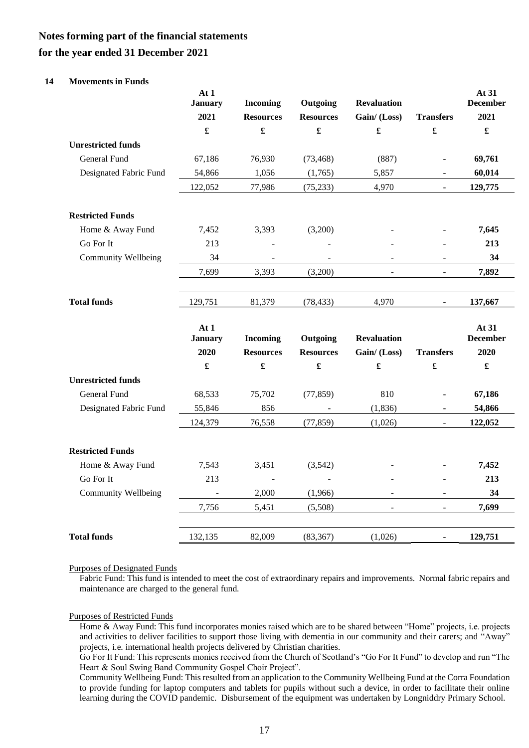#### **for the year ended 31 December 2021**

#### **14 Movements in Funds**

|                            | At 1<br><b>January</b> | <b>Incoming</b>          | Outgoing             | <b>Revaluation</b>   |                          | At 31<br><b>December</b> |
|----------------------------|------------------------|--------------------------|----------------------|----------------------|--------------------------|--------------------------|
|                            | 2021                   | <b>Resources</b>         | <b>Resources</b>     | Gain/(Loss)          | <b>Transfers</b>         | 2021                     |
|                            | $\pmb{\mathfrak{L}}$   | £                        | $\pmb{\mathfrak{L}}$ | $\pmb{\mathfrak{L}}$ | $\pmb{\mathfrak{L}}$     | $\pmb{\mathfrak{L}}$     |
| <b>Unrestricted funds</b>  |                        |                          |                      |                      |                          |                          |
| General Fund               | 67,186                 | 76,930                   | (73, 468)            | (887)                | $\overline{a}$           | 69,761                   |
| Designated Fabric Fund     | 54,866                 | 1,056                    | (1,765)              | 5,857                | $\overline{\phantom{a}}$ | 60,014                   |
|                            | 122,052                | 77,986                   | (75, 233)            | 4,970                | $\overline{\phantom{a}}$ | 129,775                  |
| <b>Restricted Funds</b>    |                        |                          |                      |                      |                          |                          |
| Home & Away Fund           | 7,452                  | 3,393                    | (3,200)              |                      |                          | 7,645                    |
| Go For It                  | 213                    |                          |                      |                      | $\overline{a}$           | 213                      |
| <b>Community Wellbeing</b> | 34                     | $\overline{\phantom{a}}$ |                      |                      |                          | 34                       |
|                            | 7,699                  | 3,393                    | (3,200)              |                      | $\frac{1}{2}$            | 7,892                    |
| <b>Total funds</b>         | 129,751                | 81,379                   | (78, 433)            | 4,970                | L.                       | 137,667                  |
|                            | At 1<br><b>January</b> | <b>Incoming</b>          | Outgoing             | <b>Revaluation</b>   |                          | At 31<br><b>December</b> |
|                            | 2020                   | <b>Resources</b>         | <b>Resources</b>     | Gain/(Loss)          | <b>Transfers</b>         | 2020                     |
|                            | $\pmb{\mathfrak{L}}$   | £                        | $\pmb{\mathfrak{L}}$ | $\pmb{\mathfrak{L}}$ | $\pmb{\mathfrak{L}}$     |                          |
| <b>Unrestricted funds</b>  |                        |                          |                      |                      |                          |                          |
| General Fund               | 68,533                 | 75,702                   | (77, 859)            | 810                  | $\overline{a}$           | 67,186                   |
| Designated Fabric Fund     | 55,846                 | 856                      |                      | (1, 836)             | $\equiv$                 | 54,866                   |
|                            | 124,379                | 76,558                   | (77, 859)            | (1,026)              |                          | 122,052                  |
| <b>Restricted Funds</b>    |                        |                          |                      |                      |                          |                          |
| Home & Away Fund           | 7,543                  | 3,451                    | (3,542)              |                      |                          | 7,452                    |
| Go For It                  | 213                    | $\overline{\phantom{a}}$ |                      |                      |                          | 213                      |
| <b>Community Wellbeing</b> | $\blacksquare$         | 2,000                    | (1,966)              |                      | $\frac{1}{2}$            | 34                       |
|                            | 7,756                  | 5,451                    | (5,508)              |                      |                          | 7,699                    |
| <b>Total funds</b>         | 132,135                | 82,009                   | (83, 367)            | (1,026)              | $\overline{\phantom{a}}$ | 129,751                  |

Purposes of Designated Funds

Fabric Fund: This fund is intended to meet the cost of extraordinary repairs and improvements. Normal fabric repairs and maintenance are charged to the general fund.

#### Purposes of Restricted Funds

Home & Away Fund: This fund incorporates monies raised which are to be shared between "Home" projects, i.e. projects and activities to deliver facilities to support those living with dementia in our community and their carers; and "Away" projects, i.e. international health projects delivered by Christian charities.

Go For It Fund: This represents monies received from the Church of Scotland's "Go For It Fund" to develop and run "The Heart & Soul Swing Band Community Gospel Choir Project".

Community Wellbeing Fund: This resulted from an application to the Community Wellbeing Fund at the Corra Foundation to provide funding for laptop computers and tablets for pupils without such a device, in order to facilitate their online learning during the COVID pandemic. Disbursement of the equipment was undertaken by Longniddry Primary School.